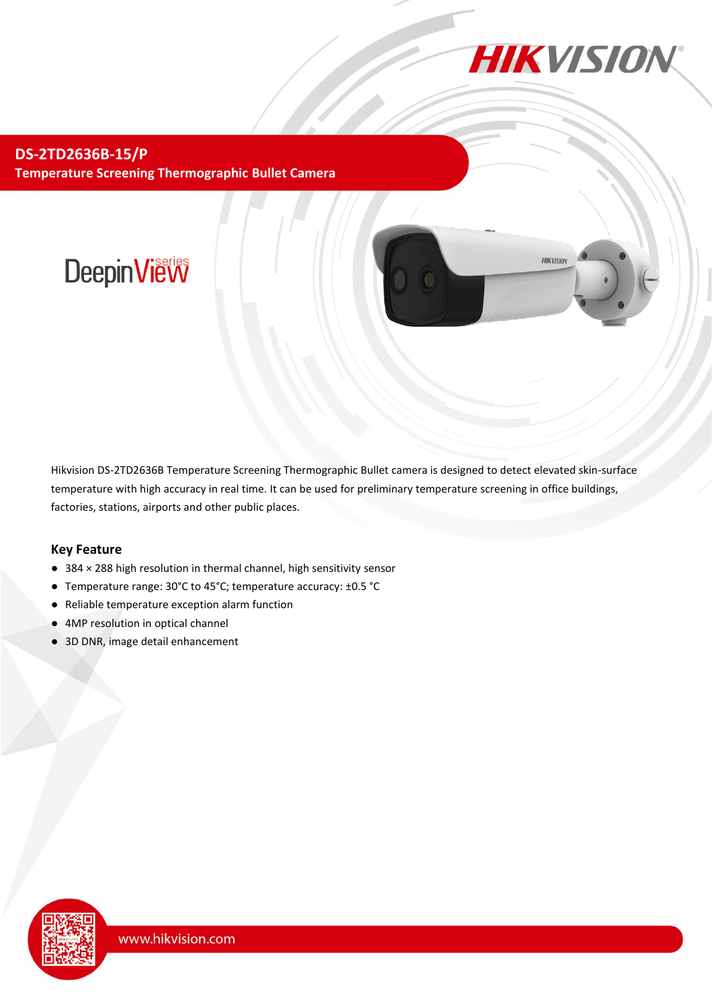

**HIKVISION** 

**DS-2TD2636B-15/P Temperature Screening Thermographic Bullet Camera**

# DeepinView

Hikvision DS-2TD2636B Temperature Screening Thermographic Bullet camera is designed to detect elevated skin-surface temperature with high accuracy in real time. It can be used for preliminary temperature screening in office buildings, factories, stations, airports and other public places.

#### **Key Feature**

- 384 × 288 high resolution in thermal channel, high sensitivity sensor
- Temperature range: 30°C to 45°C; temperature accuracy: ±0.5 °C
- Reliable temperature exception alarm function
- 4MP resolution in optical channel
- 3D DNR, image detail enhancement

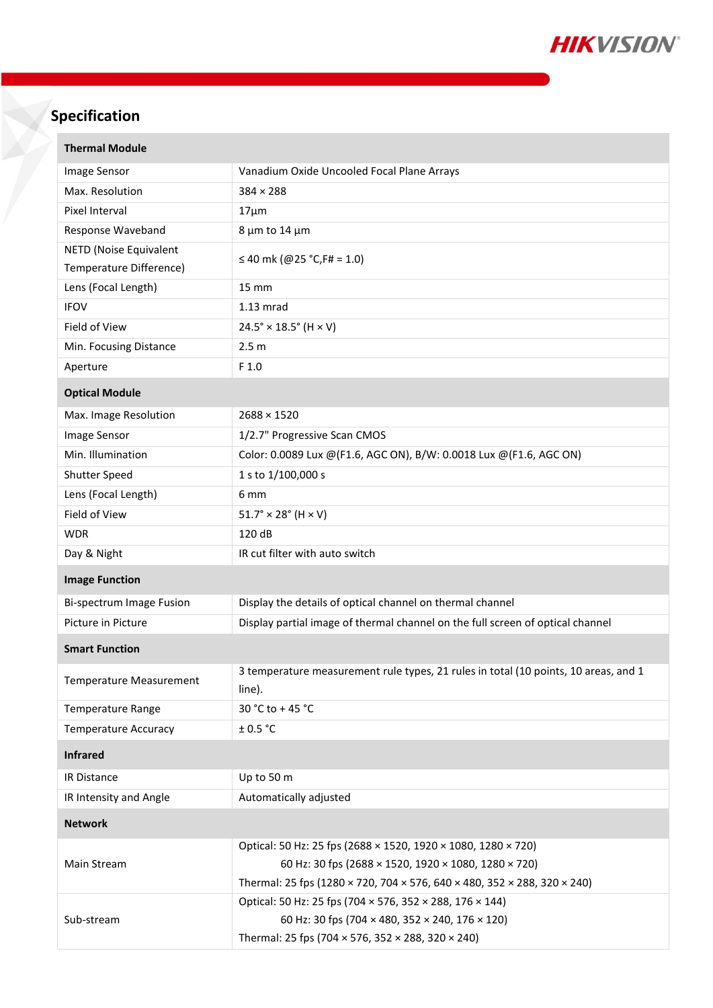

## **Specification**

| <b>Thermal Module</b>                             |                                                                                                                       |
|---------------------------------------------------|-----------------------------------------------------------------------------------------------------------------------|
| Image Sensor                                      | Vanadium Oxide Uncooled Focal Plane Arrays                                                                            |
| Max. Resolution                                   | $384 \times 288$                                                                                                      |
| Pixel Interval                                    | $17 \mu m$                                                                                                            |
| Response Waveband                                 | $8 \mu m$ to 14 $\mu m$                                                                                               |
| NETD (Noise Equivalent<br>Temperature Difference) | ≤ 40 mk (@25 °C, F# = 1.0)                                                                                            |
| Lens (Focal Length)                               | 15 mm                                                                                                                 |
| <b>IFOV</b>                                       | $1.13$ mrad                                                                                                           |
| Field of View                                     | $24.5^{\circ} \times 18.5^{\circ}$ (H $\times$ V)                                                                     |
| Min. Focusing Distance                            | 2.5 <sub>m</sub>                                                                                                      |
| Aperture                                          | F <sub>1.0</sub>                                                                                                      |
|                                                   |                                                                                                                       |
| <b>Optical Module</b>                             |                                                                                                                       |
| Max. Image Resolution                             | $2688 \times 1520$                                                                                                    |
| Image Sensor                                      | 1/2.7" Progressive Scan CMOS                                                                                          |
| Min. Illumination                                 | Color: 0.0089 Lux @(F1.6, AGC ON), B/W: 0.0018 Lux @(F1.6, AGC ON)                                                    |
| Shutter Speed                                     | 1 s to 1/100,000 s                                                                                                    |
| Lens (Focal Length)                               | 6 <sub>mm</sub>                                                                                                       |
| Field of View                                     | $51.7^{\circ} \times 28^{\circ}$ (H $\times$ V)                                                                       |
| <b>WDR</b>                                        | 120 dB                                                                                                                |
| Day & Night                                       | IR cut filter with auto switch                                                                                        |
| <b>Image Function</b>                             |                                                                                                                       |
| Bi-spectrum Image Fusion                          | Display the details of optical channel on thermal channel                                                             |
| Picture in Picture                                | Display partial image of thermal channel on the full screen of optical channel                                        |
| <b>Smart Function</b>                             |                                                                                                                       |
| Temperature Measurement                           | 3 temperature measurement rule types, 21 rules in total (10 points, 10 areas, and 1<br>line).                         |
| <b>Temperature Range</b>                          | 30 °C to +45 °C                                                                                                       |
| <b>Temperature Accuracy</b>                       | ± 0.5 °C                                                                                                              |
| <b>Infrared</b>                                   |                                                                                                                       |
| IR Distance                                       | Up to 50 m                                                                                                            |
| IR Intensity and Angle                            | Automatically adjusted                                                                                                |
| <b>Network</b>                                    |                                                                                                                       |
| Main Stream                                       | Optical: 50 Hz: 25 fps (2688 × 1520, 1920 × 1080, 1280 × 720)<br>60 Hz: 30 fps (2688 × 1520, 1920 × 1080, 1280 × 720) |
|                                                   | Thermal: 25 fps (1280 × 720, 704 × 576, 640 × 480, 352 × 288, 320 × 240)                                              |
| Sub-stream                                        | Optical: 50 Hz: 25 fps (704 × 576, 352 × 288, 176 × 144)                                                              |
|                                                   |                                                                                                                       |
|                                                   | 60 Hz: 30 fps (704 × 480, 352 × 240, 176 × 120)                                                                       |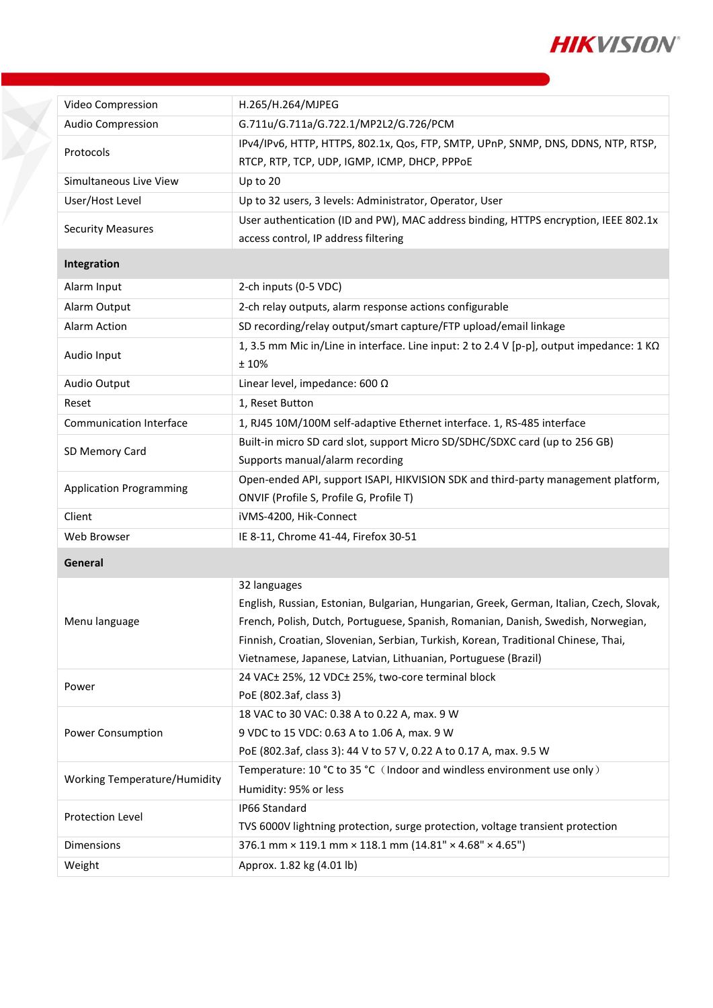

| Video Compression                   | H.265/H.264/MJPEG                                                                                                                 |  |
|-------------------------------------|-----------------------------------------------------------------------------------------------------------------------------------|--|
| Audio Compression                   | G.711u/G.711a/G.722.1/MP2L2/G.726/PCM                                                                                             |  |
| Protocols                           | IPv4/IPv6, HTTP, HTTPS, 802.1x, Qos, FTP, SMTP, UPnP, SNMP, DNS, DDNS, NTP, RTSP,<br>RTCP, RTP, TCP, UDP, IGMP, ICMP, DHCP, PPPOE |  |
| Simultaneous Live View              | Up to 20                                                                                                                          |  |
| User/Host Level                     | Up to 32 users, 3 levels: Administrator, Operator, User                                                                           |  |
| <b>Security Measures</b>            | User authentication (ID and PW), MAC address binding, HTTPS encryption, IEEE 802.1x                                               |  |
|                                     | access control, IP address filtering                                                                                              |  |
| Integration                         |                                                                                                                                   |  |
| Alarm Input                         | 2-ch inputs (0-5 VDC)                                                                                                             |  |
| Alarm Output                        | 2-ch relay outputs, alarm response actions configurable                                                                           |  |
| Alarm Action                        | SD recording/relay output/smart capture/FTP upload/email linkage                                                                  |  |
| Audio Input                         | 1, 3.5 mm Mic in/Line in interface. Line input: 2 to 2.4 V [p-p], output impedance: 1 KΩ                                          |  |
|                                     | ±10%                                                                                                                              |  |
| Audio Output                        | Linear level, impedance: 600 $\Omega$                                                                                             |  |
| Reset                               | 1, Reset Button                                                                                                                   |  |
| <b>Communication Interface</b>      | 1, RJ45 10M/100M self-adaptive Ethernet interface. 1, RS-485 interface                                                            |  |
| SD Memory Card                      | Built-in micro SD card slot, support Micro SD/SDHC/SDXC card (up to 256 GB)                                                       |  |
|                                     | Supports manual/alarm recording                                                                                                   |  |
| <b>Application Programming</b>      | Open-ended API, support ISAPI, HIKVISION SDK and third-party management platform,                                                 |  |
|                                     | ONVIF (Profile S, Profile G, Profile T)                                                                                           |  |
| Client                              | iVMS-4200, Hik-Connect                                                                                                            |  |
| Web Browser                         | IE 8-11, Chrome 41-44, Firefox 30-51                                                                                              |  |
| General                             |                                                                                                                                   |  |
| Menu language                       | 32 languages                                                                                                                      |  |
|                                     | English, Russian, Estonian, Bulgarian, Hungarian, Greek, German, Italian, Czech, Slovak,                                          |  |
|                                     | French, Polish, Dutch, Portuguese, Spanish, Romanian, Danish, Swedish, Norwegian,                                                 |  |
|                                     | Finnish, Croatian, Slovenian, Serbian, Turkish, Korean, Traditional Chinese, Thai,                                                |  |
|                                     | Vietnamese, Japanese, Latvian, Lithuanian, Portuguese (Brazil)                                                                    |  |
| Power                               | 24 VAC± 25%, 12 VDC± 25%, two-core terminal block<br>PoE (802.3af, class 3)                                                       |  |
|                                     | 18 VAC to 30 VAC: 0.38 A to 0.22 A, max. 9 W                                                                                      |  |
| Power Consumption                   | 9 VDC to 15 VDC: 0.63 A to 1.06 A, max. 9 W                                                                                       |  |
|                                     | PoE (802.3af, class 3): 44 V to 57 V, 0.22 A to 0.17 A, max. 9.5 W                                                                |  |
| <b>Working Temperature/Humidity</b> | Temperature: 10 °C to 35 °C (Indoor and windless environment use only)                                                            |  |
|                                     | Humidity: 95% or less                                                                                                             |  |
| Protection Level                    | IP66 Standard                                                                                                                     |  |
|                                     | TVS 6000V lightning protection, surge protection, voltage transient protection                                                    |  |
| Dimensions                          | 376.1 mm × 119.1 mm × 118.1 mm (14.81" × 4.68" × 4.65")                                                                           |  |
| Weight                              | Approx. 1.82 kg (4.01 lb)                                                                                                         |  |
|                                     |                                                                                                                                   |  |

Y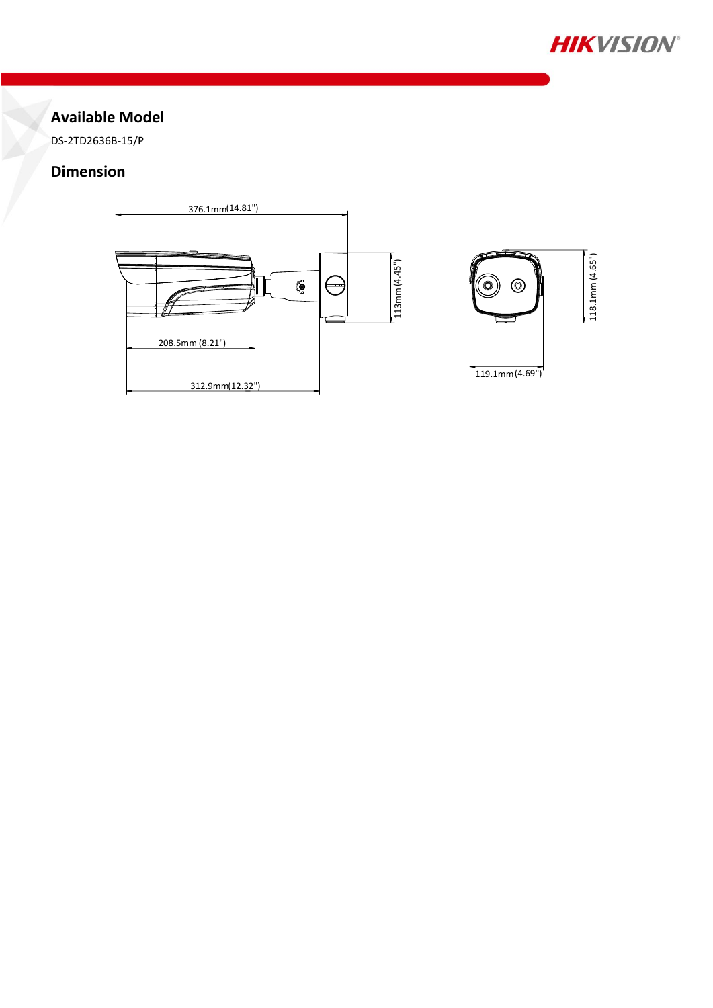

### **Available Model**

DS-2TD2636B-15/P

#### **Dimension**